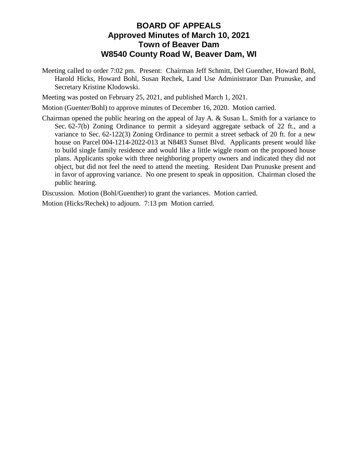## **BOARD OF APPEALS Approved Minutes of March 10, 2021 Town of Beaver Dam W8540 County Road W, Beaver Dam, WI**

Meeting called to order 7:02 pm. Present: Chairman Jeff Schmitt, Del Guenther, Howard Bohl, Harold Hicks, Howard Bohl, Susan Rechek, Land Use Administrator Dan Prunuske, and Secretary Kristine Klodowski.

Meeting was posted on February 25, 2021, and published March 1, 2021.

Motion (Guenter/Bohl) to approve minutes of December 16, 2020. Motion carried.

Chairman opened the public hearing on the appeal of Jay A. & Susan L. Smith for a variance to Sec. 62-7(b) Zoning Ordinance to permit a sideyard aggregate setback of 22 ft., and a variance to Sec. 62-122(3) Zoning Ordinance to permit a street setback of 20 ft. for a new house on Parcel 004-1214-2022-013 at N8483 Sunset Blvd. Applicants present would like to build single family residence and would like a little wiggle room on the proposed house plans. Applicants spoke with three neighboring property owners and indicated they did not object, but did not feel the need to attend the meeting. Resident Dan Prunuske present and in favor of approving variance. No one present to speak in opposition. Chairman closed the public hearing.

Discussion. Motion (Bohl/Guenther) to grant the variances. Motion carried.

Motion (Hicks/Rechek) to adjourn. 7:13 pm Motion carried.